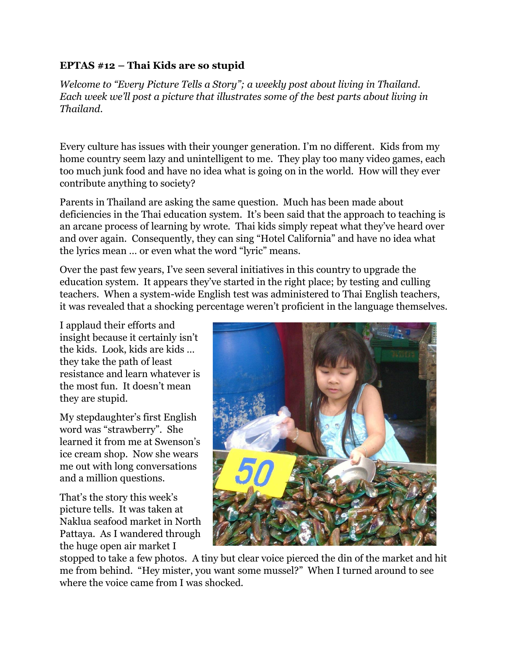## **EPTAS #12 – Thai Kids are so stupid**

*Welcome to "Every Picture Tells a Story"; a weekly post about living in Thailand. Each week we'll post a picture that illustrates some of the best parts about living in Thailand.*

Every culture has issues with their younger generation. I'm no different. Kids from my home country seem lazy and unintelligent to me. They play too many video games, each too much junk food and have no idea what is going on in the world. How will they ever contribute anything to society?

Parents in Thailand are asking the same question. Much has been made about deficiencies in the Thai education system. It's been said that the approach to teaching is an arcane process of learning by wrote. Thai kids simply repeat what they've heard over and over again. Consequently, they can sing "Hotel California" and have no idea what the lyrics mean … or even what the word "lyric" means.

Over the past few years, I've seen several initiatives in this country to upgrade the education system. It appears they've started in the right place; by testing and culling teachers. When a system-wide English test was administered to Thai English teachers, it was revealed that a shocking percentage weren't proficient in the language themselves.

I applaud their efforts and insight because it certainly isn't the kids. Look, kids are kids … they take the path of least resistance and learn whatever is the most fun. It doesn't mean they are stupid.

My stepdaughter's first English word was "strawberry". She learned it from me at Swenson's ice cream shop. Now she wears me out with long conversations and a million questions.

That's the story this week's picture tells. It was taken at Naklua seafood market in North Pattaya. As I wandered through the huge open air market I



stopped to take a few photos. A tiny but clear voice pierced the din of the market and hit me from behind. "Hey mister, you want some mussel?" When I turned around to see where the voice came from I was shocked.